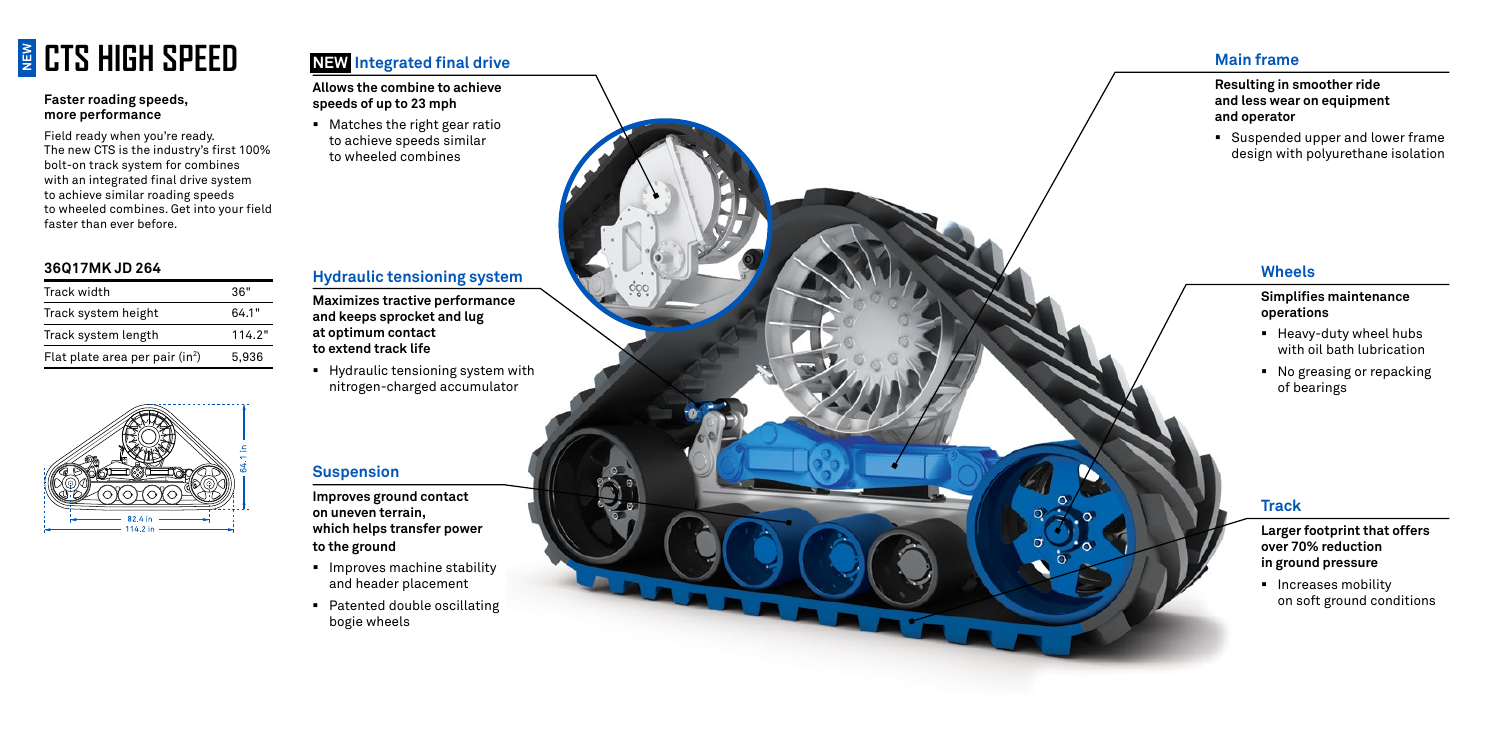## **g** CTS HIGH SPEED

#### **Faster roading speeds, more performance**

Field ready when you're ready. The new CTS is the industry's first 100% bolt-on track system for combines with an integrated final drive system to achieve similar roading speeds to wheeled combines. Get into your field faster than ever before.

> ■ Increases mobility on soft ground conditions

#### **Wheels**

#### **Simplifies maintenance operations**

- **•** Improves machine stability and header placement
- Patented double oscillating bogie wheels
- § Heavy-duty wheel hubs with oil bath lubrication
- No greasing or repacking of bearings

#### **Track**

■ Matches the right gear ratio to achieve speeds similar to wheeled combines

> **Larger footprint that offers over 70% reduction in ground pressure**

#### **Suspension**

**Improves ground contact on uneven terrain, which helps transfer power to the ground**

#### **NEW Integrated final drive**

**Allows the combine to achieve speeds of up to 23 mph**

#### **Main frame**

#### **Resulting in smoother ride and less wear on equipment and operator**

§ Suspended upper and lower frame design with polyurethane isolation

#### **Hydraulic tensioning system**

**Maximizes tractive performance and keeps sprocket and lug at optimum contact to extend track life**

§ Hydraulic tensioning system with nitrogen-charged accumulator

#### **36Q17MK JD 264**

| Track width                                 | 36"    |
|---------------------------------------------|--------|
| Track system height                         | 64.1"  |
| Track system length                         | 114.2" |
| Flat plate area per pair (in <sup>2</sup> ) | 5.936  |